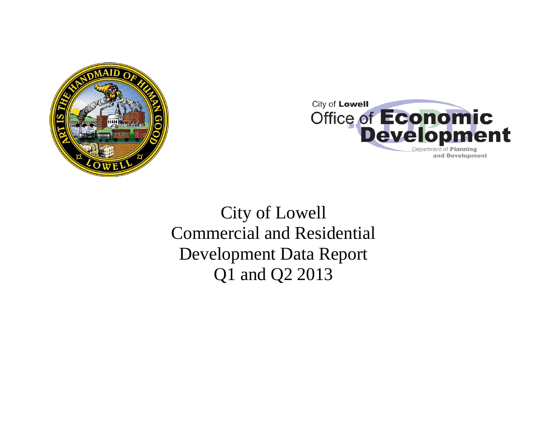



City of Lowell Commercial and Residential Development Data Report Q1 and Q2 2013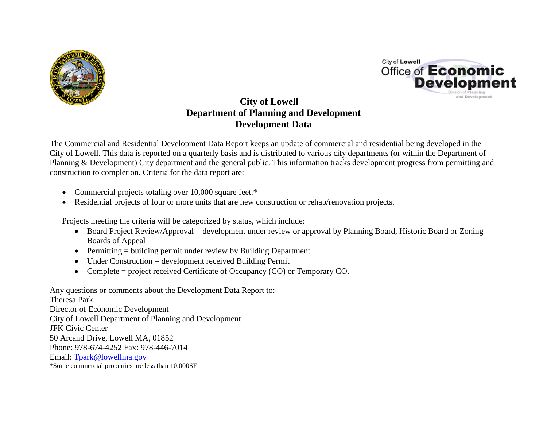



# **City of Lowell Department of Planning and Development Development Data**

The Commercial and Residential Development Data Report keeps an update of commercial and residential being developed in the City of Lowell. This data is reported on a quarterly basis and is distributed to various city departments (or within the Department of Planning & Development) City department and the general public. This information tracks development progress from permitting and construction to completion. Criteria for the data report are:

- Commercial projects totaling over 10,000 square feet.\*
- Residential projects of four or more units that are new construction or rehab/renovation projects.

Projects meeting the criteria will be categorized by status, which include:

- Board Project Review/Approval = development under review or approval by Planning Board, Historic Board or Zoning Boards of Appeal
- Permitting = building permit under review by Building Department
- Under Construction = development received Building Permit
- Complete = project received Certificate of Occupancy (CO) or Temporary CO.

Any questions or comments about the Development Data Report to: Theresa Park Director of Economic Development City of Lowell Department of Planning and Development JFK Civic Center 50 Arcand Drive, Lowell MA, 01852 Phone: 978-674-4252 Fax: 978-446-7014 Email: [Tpark@lowellma.gov](mailto:Tpark@lowellma.gov) \*Some commercial properties are less than 10,000SF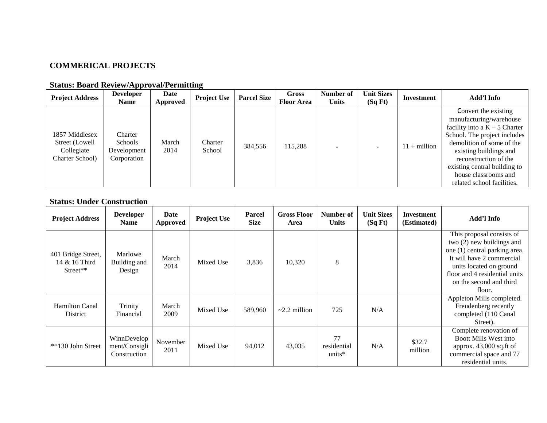# **COMMERICAL PROJECTS**

| <b>Project Address</b>                                            | <b>Developer</b><br><b>Name</b>                         | Date<br>Approved | <b>Project Use</b> | <b>Parcel Size</b> | Gross<br><b>Floor Area</b> | Number of<br><b>Units</b> | <b>Unit Sizes</b><br>(SqFt) | Investment            | Add'l Info                                                                                                                                                                                                                                                                               |
|-------------------------------------------------------------------|---------------------------------------------------------|------------------|--------------------|--------------------|----------------------------|---------------------------|-----------------------------|-----------------------|------------------------------------------------------------------------------------------------------------------------------------------------------------------------------------------------------------------------------------------------------------------------------------------|
| 1857 Middlesex<br>Street (Lowell<br>Collegiate<br>Charter School) | Charter<br><b>Schools</b><br>Development<br>Corporation | March<br>2014    | Charter<br>School  | 384,556            | 115,288                    |                           |                             | $11 + \text{million}$ | Convert the existing<br>manufacturing/warehouse<br>facility into a $K - 5$ Charter<br>School. The project includes<br>demolition of some of the<br>existing buildings and<br>reconstruction of the<br>existing central building to<br>house classrooms and<br>related school facilities. |

# **Status: Board Review/Approval/Permitting**

## **Status: Under Construction**

| <b>Project Address</b>                          | <b>Developer</b><br><b>Name</b>              | Date<br>Approved | <b>Project Use</b> | <b>Parcel</b><br><b>Size</b> | <b>Gross Floor</b><br>Area | Number of<br><b>Units</b>      | <b>Unit Sizes</b><br>(SqFt) | Investment<br>(Estimated) | Add'l Info                                                                                                                                                                                                              |
|-------------------------------------------------|----------------------------------------------|------------------|--------------------|------------------------------|----------------------------|--------------------------------|-----------------------------|---------------------------|-------------------------------------------------------------------------------------------------------------------------------------------------------------------------------------------------------------------------|
| 401 Bridge Street,<br>14 & 16 Third<br>Street** | Marlowe<br>Building and<br>Design            | March<br>2014    | Mixed Use          | 3,836                        | 10,320                     | 8                              |                             |                           | This proposal consists of<br>two $(2)$ new buildings and<br>one (1) central parking area.<br>It will have 2 commercial<br>units located on ground<br>floor and 4 residential units<br>on the second and third<br>floor. |
| <b>Hamilton Canal</b><br>District               | Trinity<br>Financial                         | March<br>2009    | Mixed Use          | 589,960                      | $\sim$ 2.2 million         | 725                            | N/A                         |                           | Appleton Mills completed.<br>Freudenberg recently<br>completed (110 Canal<br>Street).                                                                                                                                   |
| **130 John Street                               | WinnDevelop<br>ment/Consigli<br>Construction | November<br>2011 | Mixed Use          | 94,012                       | 43,035                     | 77<br>residential<br>units $*$ | N/A                         | \$32.7<br>million         | Complete renovation of<br><b>Boott Mills West into</b><br>approx. $43,000$ sq.ft of<br>commercial space and 77<br>residential units.                                                                                    |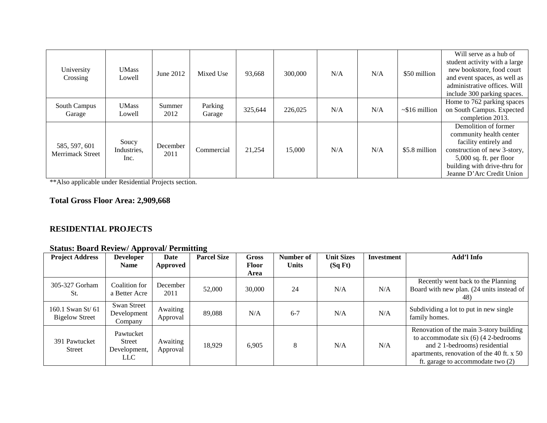|                         |              |                  |            |         |         |     |     |                     | Will serve as a hub of        |
|-------------------------|--------------|------------------|------------|---------|---------|-----|-----|---------------------|-------------------------------|
|                         |              |                  |            |         |         |     |     |                     | student activity with a large |
| University              | <b>UMass</b> | June 2012        | Mixed Use  | 93,668  | 300,000 | N/A | N/A | \$50 million        | new bookstore, food court     |
| Crossing                | Lowell       |                  |            |         |         |     |     |                     | and event spaces, as well as  |
|                         |              |                  |            |         |         |     |     |                     | administrative offices. Will  |
|                         |              |                  |            |         |         |     |     |                     | include 300 parking spaces.   |
| South Campus            | <b>UMass</b> | Summer           | Parking    |         |         |     |     |                     | Home to 762 parking spaces    |
| Garage                  | Lowell       | 2012             |            | 325,644 | 226,025 | N/A | N/A | $\sim$ \$16 million | on South Campus. Expected     |
|                         |              |                  | Garage     |         |         |     |     |                     | completion 2013.              |
|                         |              |                  |            |         |         |     |     |                     | Demolition of former          |
|                         |              |                  |            |         |         |     |     |                     | community health center       |
| 585, 597, 601           | Soucy        |                  |            |         |         |     |     |                     | facility entirely and         |
| <b>Merrimack Street</b> | Industries,  | December<br>2011 | Commercial | 21,254  | 15,000  | N/A | N/A | \$5.8 million       | construction of new 3-story,  |
|                         | Inc.         |                  |            |         |         |     |     |                     | $5,000$ sq. ft. per floor     |
|                         |              |                  |            |         |         |     |     |                     | building with drive-thru for  |
|                         |              |                  |            |         |         |     |     |                     | Jeanne D'Arc Credit Union     |

\*\*Also applicable under Residential Projects section.

# **Total Gross Floor Area: 2,909,668**

### **RESIDENTIAL PROJECTS**

## **Status: Board Review/ Approval/ Permitting**

| <b>Project Address</b>                     | . .<br><b>Developer</b>                                        | Date                 | <b>Parcel Size</b> | <b>Gross</b>         | Number of    | <b>Unit Sizes</b> | Investment | Add'l Info                                                                                                                                                                                            |
|--------------------------------------------|----------------------------------------------------------------|----------------------|--------------------|----------------------|--------------|-------------------|------------|-------------------------------------------------------------------------------------------------------------------------------------------------------------------------------------------------------|
|                                            | <b>Name</b>                                                    | Approved             |                    | <b>Floor</b><br>Area | <b>Units</b> | (SqFt)            |            |                                                                                                                                                                                                       |
| 305-327 Gorham<br>St.                      | Coalition for<br>a Better Acre                                 | December<br>2011     | 52,000             | 30,000               | 24           | N/A               | N/A        | Recently went back to the Planning<br>Board with new plan. (24 units instead of<br>48)                                                                                                                |
| 160.1 Swan St/ 61<br><b>Bigelow Street</b> | Swan Street<br>Development<br>Company                          | Awaiting<br>Approval | 89,088             | N/A                  | $6 - 7$      | N/A               | N/A        | Subdividing a lot to put in new single<br>family homes.                                                                                                                                               |
| 391 Pawtucket<br><b>Street</b>             | Pawtucket<br><b>Street</b><br>Development,<br>LLC <sub>.</sub> | Awaiting<br>Approval | 18,929             | 6,905                | 8            | N/A               | N/A        | Renovation of the main 3-story building<br>to accommodate six $(6)$ (4 2-bedrooms<br>and 21-bedrooms) residential<br>apartments, renovation of the 40 ft. x 50<br>ft. garage to accommodate two $(2)$ |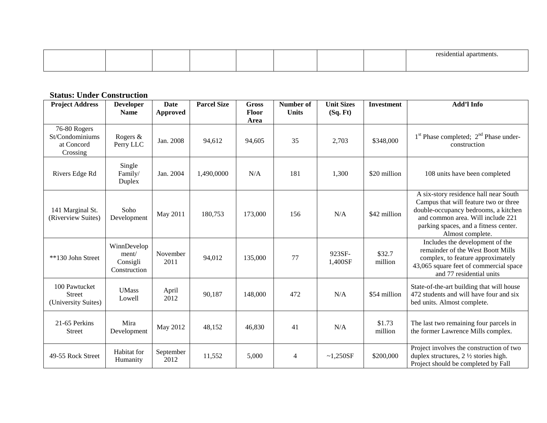|--|--|--|--|--|--|--|--|--|--|

#### **Status: Under Construction**

| <b>Project Address</b>                                    | <b>Developer</b><br><b>Name</b>                  | <b>Date</b><br>Approved | <b>Parcel Size</b> | <b>Gross</b><br><b>Floor</b> | Number of<br><b>Units</b> | <b>Unit Sizes</b><br>(Sq. Ft) | <b>Investment</b> | <b>Add'l Info</b>                                                                                                                                                                                                        |
|-----------------------------------------------------------|--------------------------------------------------|-------------------------|--------------------|------------------------------|---------------------------|-------------------------------|-------------------|--------------------------------------------------------------------------------------------------------------------------------------------------------------------------------------------------------------------------|
| 76-80 Rogers<br>St/Condominiums<br>at Concord<br>Crossing | Rogers &<br>Perry LLC                            | Jan. 2008               | 94,612             | Area<br>94,605               | 35                        | 2,703                         | \$348,000         | 1 <sup>st</sup> Phase completed; 2 <sup>nd</sup> Phase under-<br>construction                                                                                                                                            |
| Rivers Edge Rd                                            | Single<br>Family/<br>Duplex                      | Jan. 2004               | 1,490,0000         | N/A                          | 181                       | 1,300                         | \$20 million      | 108 units have been completed                                                                                                                                                                                            |
| 141 Marginal St.<br>(Riverview Suites)                    | Soho<br>Development                              | May 2011                | 180,753            | 173,000                      | 156                       | N/A                           | \$42 million      | A six-story residence hall near South<br>Campus that will feature two or three<br>double-occupancy bedrooms, a kitchen<br>and common area. Will include 221<br>parking spaces, and a fitness center.<br>Almost complete. |
| **130 John Street                                         | WinnDevelop<br>ment/<br>Consigli<br>Construction | November<br>2011        | 94,012             | 135,000                      | 77                        | 923SF-<br>1,400SF             | \$32.7<br>million | Includes the development of the<br>remainder of the West Boott Mills<br>complex, to feature approximately<br>43,065 square feet of commercial space<br>and 77 residential units                                          |
| 100 Pawtucket<br><b>Street</b><br>(University Suites)     | <b>UMass</b><br>Lowell                           | April<br>2012           | 90,187             | 148,000                      | 472                       | N/A                           | \$54 million      | State-of-the-art building that will house<br>472 students and will have four and six<br>bed units. Almost complete.                                                                                                      |
| 21-65 Perkins<br><b>Street</b>                            | Mira<br>Development                              | May 2012                | 48,152             | 46,830                       | 41                        | N/A                           | \$1.73<br>million | The last two remaining four parcels in<br>the former Lawrence Mills complex.                                                                                                                                             |
| 49-55 Rock Street                                         | Habitat for<br>Humanity                          | September<br>2012       | 11,552             | 5,000                        | $\overline{4}$            | ~1,250SF                      | \$200,000         | Project involves the construction of two<br>duplex structures, $2 \frac{1}{2}$ stories high.<br>Project should be completed by Fall                                                                                      |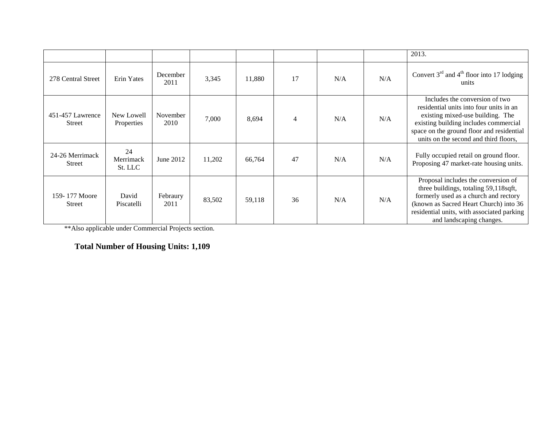|                                   |                            |                  |        |        |                |     |     | 2013.                                                                                                                                                                                                                                        |
|-----------------------------------|----------------------------|------------------|--------|--------|----------------|-----|-----|----------------------------------------------------------------------------------------------------------------------------------------------------------------------------------------------------------------------------------------------|
| 278 Central Street                | Erin Yates                 | December<br>2011 | 3,345  | 11,880 | 17             | N/A | N/A | Convert $3rd$ and $4th$ floor into 17 lodging<br>units                                                                                                                                                                                       |
| 451-457 Lawrence<br><b>Street</b> | New Lowell<br>Properties   | November<br>2010 | 7,000  | 8,694  | $\overline{4}$ | N/A | N/A | Includes the conversion of two<br>residential units into four units in an<br>existing mixed-use building. The<br>existing building includes commercial<br>space on the ground floor and residential<br>units on the second and third floors, |
| 24-26 Merrimack<br><b>Street</b>  | 24<br>Merrimack<br>St. LLC | June 2012        | 11,202 | 66,764 | 47             | N/A | N/A | Fully occupied retail on ground floor.<br>Proposing 47 market-rate housing units.                                                                                                                                                            |
| 159-177 Moore<br><b>Street</b>    | David<br>Piscatelli        | Febraury<br>2011 | 83,502 | 59,118 | 36             | N/A | N/A | Proposal includes the conversion of<br>three buildings, totaling 59,118sqft,<br>formerly used as a church and rectory<br>(known as Sacred Heart Church) into 36<br>residential units, with associated parking<br>and landscaping changes.    |

\*\*Also applicable under Commercial Projects section.

**Total Number of Housing Units: 1,109**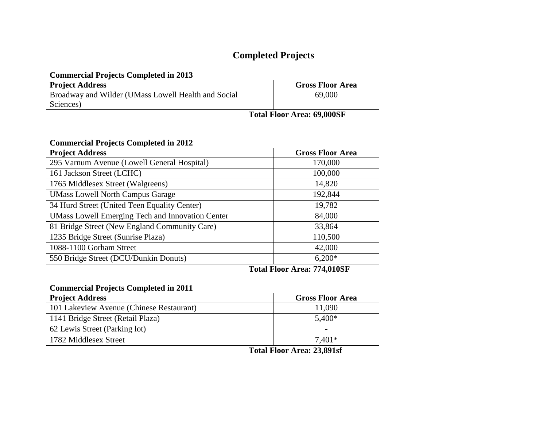# **Completed Projects**

#### **Commercial Projects Completed in 2013**

| <b>Project Address</b>                                     |  | <b>Gross Floor Area</b>            |
|------------------------------------------------------------|--|------------------------------------|
| <b>Broadway and Wilder (UMass Lowell Health and Social</b> |  | 69,000                             |
| Sciences)                                                  |  |                                    |
|                                                            |  | $\sim$ $\sim$ $\sim$ $\sim$ $\sim$ |

**Total Floor Area: 69,000SF**

#### **Commercial Projects Completed in 2012**

| <b>Project Address</b>                                  | <b>Gross Floor Area</b> |
|---------------------------------------------------------|-------------------------|
| 295 Varnum Avenue (Lowell General Hospital)             | 170,000                 |
| 161 Jackson Street (LCHC)                               | 100,000                 |
| 1765 Middlesex Street (Walgreens)                       | 14,820                  |
| <b>UMass Lowell North Campus Garage</b>                 | 192,844                 |
| 34 Hurd Street (United Teen Equality Center)            | 19,782                  |
| <b>UMass Lowell Emerging Tech and Innovation Center</b> | 84,000                  |
| 81 Bridge Street (New England Community Care)           | 33,864                  |
| 1235 Bridge Street (Sunrise Plaza)                      | 110,500                 |
| 1088-1100 Gorham Street                                 | 42,000                  |
| 550 Bridge Street (DCU/Dunkin Donuts)                   | $6,200*$                |

## **Total Floor Area: 774,010SF**

## **Commercial Projects Completed in 2011**

| <b>Project Address</b>                   | <b>Gross Floor Area</b>  |
|------------------------------------------|--------------------------|
| 101 Lakeview Avenue (Chinese Restaurant) | 11,090                   |
| 1141 Bridge Street (Retail Plaza)        | $5,400*$                 |
| 62 Lewis Street (Parking lot)            | $\overline{\phantom{0}}$ |
| 1782 Middlesex Street                    | $7.401*$                 |

**Total Floor Area: 23,891sf**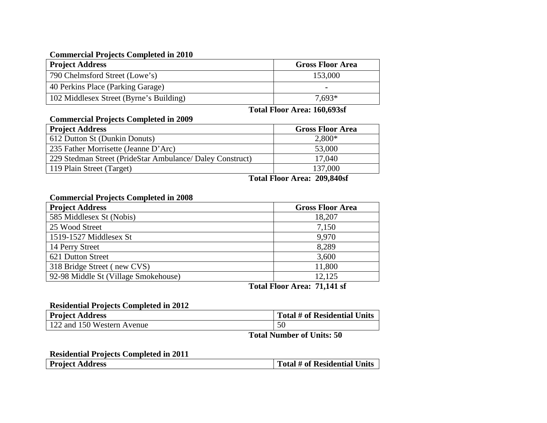#### **Commercial Projects Completed in 2010**

| <b>Project Address</b>                  | <b>Gross Floor Area</b> |
|-----------------------------------------|-------------------------|
| 790 Chelmsford Street (Lowe's)          | 153,000                 |
| 40 Perkins Place (Parking Garage)       | $\blacksquare$          |
| 102 Middlesex Street (Byrne's Building) | $7.693*$                |

#### **Total Floor Area: 160,693sf**

#### **Commercial Projects Completed in 2009**

| <b>Project Address</b>                                    | <b>Gross Floor Area</b> |
|-----------------------------------------------------------|-------------------------|
| 612 Dutton St (Dunkin Donuts)                             | $2,800*$                |
| 235 Father Morrisette (Jeanne D'Arc)                      | 53,000                  |
| 229 Stedman Street (PrideStar Ambulance/ Daley Construct) | 17,040                  |
| 119 Plain Street (Target)                                 | 137,000                 |

**Total Floor Area: 209,840sf**

#### **Commercial Projects Completed in 2008**

| 18,207                      |
|-----------------------------|
| 7,150                       |
| 9,970                       |
| 8,289                       |
| 3,600                       |
| 11,800                      |
| 12,125                      |
| $\mathbf{m}$ . $\mathbf{m}$ |

**Total Floor Area: 71,141 sf**

#### **Residential Projects Completed in 2012**

| <b>Project Address</b>     | Total # of Residential Units |
|----------------------------|------------------------------|
| 122 and 150 Western Avenue | 50                           |

**Total Number of Units: 50**

#### **Residential Projects Completed in 2011**

| <b>Project Address</b> | Total # of Residential Units |
|------------------------|------------------------------|
|------------------------|------------------------------|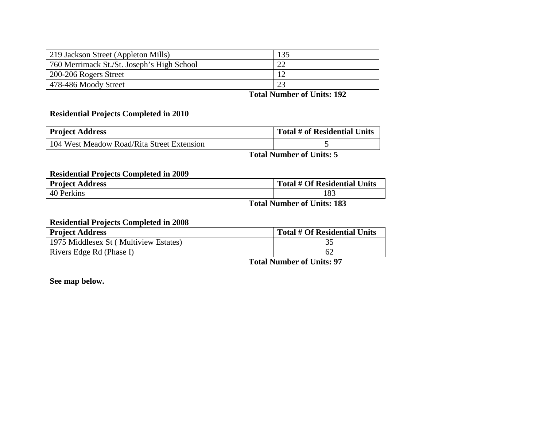| 219 Jackson Street (Appleton Mills)        | 135 |
|--------------------------------------------|-----|
| 760 Merrimack St./St. Joseph's High School |     |
| 200-206 Rogers Street                      |     |
| 478-486 Moody Street                       |     |

**Total Number of Units: 192**

#### **Residential Projects Completed in 2010**

| <b>Project Address</b>                     | Total # of Residential Units |
|--------------------------------------------|------------------------------|
| 104 West Meadow Road/Rita Street Extension |                              |

**Total Number of Units: 5**

#### **Residential Projects Completed in 2009**

| <b>Project Address</b> | <b>Total # Of Residential Units</b>                                                           |
|------------------------|-----------------------------------------------------------------------------------------------|
| 40 Perkins             | . O.                                                                                          |
|                        | $T_{\text{total}}$ N <sub>rum</sub> k on of $T_{\text{in}}$ <sup>1</sup> / <sub>2</sub> , 102 |

**Total Number of Units: 183**

## **Residential Projects Completed in 2008**

| <b>Project Address</b>                | Total # Of Residential Units |
|---------------------------------------|------------------------------|
| 1975 Middlesex St (Multiview Estates) | ی ر                          |
| Rivers Edge Rd (Phase I)              |                              |

**Total Number of Units: 97**

**See map below.**